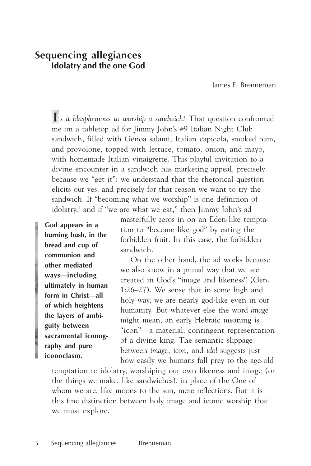# **Sequencing allegiances Idolatry and the one God**

James E. Brenneman

 **I** *s it blasphemous to worship a sandwich?* That question confronted me on a tabletop ad for Jimmy John's #9 Italian Night Club sandwich, filled with Genoa salami, Italian capicola, smoked ham, and provolone, topped with lettuce, tomato, onion, and mayo, with homemade Italian vinaigrette. This playful invitation to a divine encounter in a sandwich has marketing appeal, precisely because we "get it": we understand that the rhetorical question elicits our yes, and precisely for that reason we want to try the sandwich. If "becoming what we worship" is one definition of idolatry,<sup>1</sup> and if "we are what we eat," then Jimmy John's ad

**God appears in a burning bush, in the bread and cup of communion and other mediated ways—including ultimately in human form in Christ—all of which heightens the layers of ambiguity between sacramental iconography and pure iconoclasm.**

masterfully zeros in on an Eden-like temptation to "become like god" by eating the forbidden fruit. In this case, the forbidden sandwich.

On the other hand, the ad works because we also know in a primal way that we are created in God's "image and likeness" (Gen. 1:26–27). We sense that in some high and holy way, we are nearly god-like even in our humanity. But whatever else the word *image* might mean, an early Hebraic meaning is "icon"—a material, contingent representation of a divine king. The semantic slippage between *image, icon,* and *idol* suggests just how easily we humans fall prey to the age-old

temptation to idolatry, worshiping our own likeness and image (or the things we make, like sandwiches), in place of the One of whom we are, like moons to the sun, mere reflections. But it is this fine distinction between holy image and iconic worship that we must explore.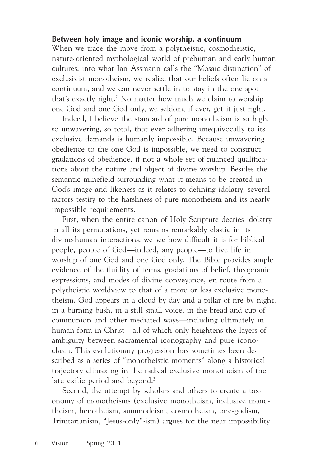## **Between holy image and iconic worship, a continuum**

When we trace the move from a polytheistic, cosmotheistic, nature-oriented mythological world of prehuman and early human cultures, into what Jan Assmann calls the "Mosaic distinction" of exclusivist monotheism, we realize that our beliefs often lie on a continuum, and we can never settle in to stay in the one spot that's exactly right.<sup>2</sup> No matter how much we claim to worship one God and one God only, we seldom, if ever, get it just right.

Indeed, I believe the standard of pure monotheism is so high, so unwavering, so total, that ever adhering unequivocally to its exclusive demands is humanly impossible. Because unwavering obedience to the one God is impossible, we need to construct gradations of obedience, if not a whole set of nuanced qualifications about the nature and object of divine worship. Besides the semantic minefield surrounding what it means to be created in God's image and likeness as it relates to defining idolatry, several factors testify to the harshness of pure monotheism and its nearly impossible requirements.

First, when the entire canon of Holy Scripture decries idolatry in all its permutations, yet remains remarkably elastic in its divine-human interactions, we see how difficult it is for biblical people, people of God—indeed, any people—to live life in worship of one God and one God only. The Bible provides ample evidence of the fluidity of terms, gradations of belief, theophanic expressions, and modes of divine conveyance, en route from a polytheistic worldview to that of a more or less exclusive monotheism. God appears in a cloud by day and a pillar of fire by night, in a burning bush, in a still small voice, in the bread and cup of communion and other mediated ways—including ultimately in human form in Christ—all of which only heightens the layers of ambiguity between sacramental iconography and pure iconoclasm. This evolutionary progression has sometimes been described as a series of "monotheistic moments" along a historical trajectory climaxing in the radical exclusive monotheism of the late exilic period and beyond.<sup>3</sup>

Second, the attempt by scholars and others to create a taxonomy of monotheisms (exclusive monotheism, inclusive monotheism, henotheism, summodeism, cosmotheism, one-godism, Trinitarianism, "Jesus-only"-ism) argues for the near impossibility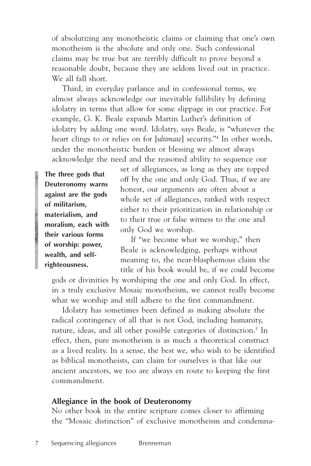of absolutizing any monotheistic claims or claiming that one's own monotheism is the absolute and only one. Such confessional claims may be true but are terribly difficult to prove beyond a reasonable doubt, because they are seldom lived out in practice. We all fall short.

Third, in everyday parlance and in confessional terms, we almost always acknowledge our inevitable fallibility by defining idolatry in terms that allow for some slippage in our practice. For example, G. K. Beale expands Martin Luther's definition of idolatry by adding one word. Idolatry, says Beale, is "whatever the heart clings to or relies on for [*ultimate*] security."4 In other words, under the monotheistic burden or blessing we almost always acknowledge the need and the reasoned ability to sequence our

**The three gods that Deuteronomy warns against are the gods of militarism, materialism, and moralism, each with their various forms of worship: power, wealth, and selfrighteousness.**

set of allegiances, as long as they are topped off by the one and only God. Thus, if we are honest, our arguments are often about a whole set of allegiances, ranked with respect either to their prioritization in relationship or to their true or false witness to the one and only God we worship.

If "we become what we worship," then Beale is acknowledging, perhaps without meaning to, the near-blasphemous claim the title of his book would be, if we *could* become

gods or divinities by worshiping the one and only God. In effect, in a truly exclusive Mosaic monotheism, we cannot really become what we worship and still adhere to the first commandment.

Idolatry has sometimes been defined as making absolute the radical contingency of all that is not God, including humanity, nature, ideas, and all other possible categories of distinction.<sup>5</sup> In effect, then, pure monotheism is as much a theoretical construct as a lived reality. In a sense, the best we, who wish to be identified as biblical monotheists, can claim for ourselves is that like our ancient ancestors, we too are always en route to keeping the first commandment.

#### **Allegiance in the book of Deuteronomy**

No other book in the entire scripture comes closer to affirming the "Mosaic distinction" of exclusive monotheism and condemna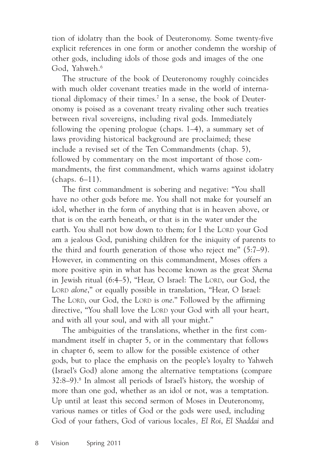tion of idolatry than the book of Deuteronomy. Some twenty-five explicit references in one form or another condemn the worship of other gods, including idols of those gods and images of the one God, Yahweh.<sup>6</sup>

The structure of the book of Deuteronomy roughly coincides with much older covenant treaties made in the world of international diplomacy of their times.<sup>7</sup> In a sense, the book of Deuteronomy is poised as a covenant treaty rivaling other such treaties between rival sovereigns, including rival gods. Immediately following the opening prologue (chaps. 1–4), a summary set of laws providing historical background are proclaimed; these include a revised set of the Ten Commandments (chap. 5), followed by commentary on the most important of those commandments, the first commandment, which warns against idolatry (chaps. 6–11).

The first commandment is sobering and negative: "You shall have no other gods before me. You shall not make for yourself an idol, whether in the form of anything that is in heaven above, or that is on the earth beneath, or that is in the water under the earth. You shall not bow down to them; for I the LORD your God am a jealous God, punishing children for the iniquity of parents to the third and fourth generation of those who reject me" (5:7–9). However, in commenting on this commandment, Moses offers a more positive spin in what has become known as the great *Shema* in Jewish ritual (6:4–5), "Hear, O Israel: The LORD, our God, the LORD *alone*," or equally possible in translation, "Hear, O Israel: The LORD, our God, the LORD is *one*." Followed by the affirming directive, "You shall love the LORD your God with all your heart, and with all your soul, and with all your might."

The ambiguities of the translations, whether in the first commandment itself in chapter 5, or in the commentary that follows in chapter 6, seem to allow for the possible existence of other gods, but to place the emphasis on the people's loyalty to Yahweh (Israel's God) alone among the alternative temptations (compare 32:8–9).8 In almost all periods of Israel's history, the worship of more than one god, whether as an idol or not, was a temptation. Up until at least this second sermon of Moses in Deuteronomy, various names or titles of God or the gods were used, including God of your fathers, God of various locales*, El Roi*, *El Shaddai* and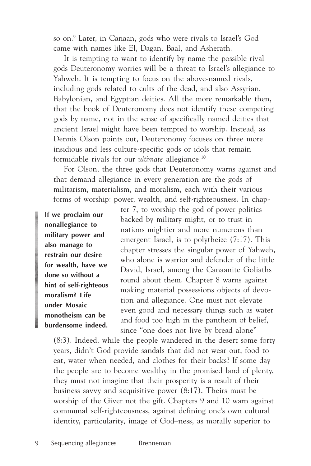so on.9 Later, in Canaan, gods who were rivals to Israel's God came with names like El, Dagan, Baal, and Asherath.

It is tempting to want to identify by name the possible rival gods Deuteronomy worries will be a threat to Israel's allegiance to Yahweh. It is tempting to focus on the above-named rivals, including gods related to cults of the dead, and also Assyrian, Babylonian, and Egyptian deities. All the more remarkable then, that the book of Deuteronomy does not identify these competing gods by name, not in the sense of specifically named deities that ancient Israel might have been tempted to worship. Instead, as Dennis Olson points out, Deuteronomy focuses on three more insidious and less culture-specific gods or idols that remain formidable rivals for our *ultimate* allegiance.10

For Olson, the three gods that Deuteronomy warns against and that demand allegiance in every generation are the gods of militarism, materialism, and moralism, each with their various forms of worship: power, wealth, and self-righteousness. In chap-

**If we proclaim our nonallegiance to military power and also manage to restrain our desire for wealth, have we done so without a hint of self-righteous moralism? Life under Mosaic monotheism can be burdensome indeed.**

ter 7, to worship the god of power politics backed by military might, or to trust in nations mightier and more numerous than emergent Israel, is to polytheize (7:17). This chapter stresses the singular power of Yahweh, who alone is warrior and defender of the little David, Israel, among the Canaanite Goliaths round about them. Chapter 8 warns against making material possessions objects of devotion and allegiance. One must not elevate even good and necessary things such as water and food too high in the pantheon of belief, since "one does not live by bread alone"

(8:3). Indeed, while the people wandered in the desert some forty years, didn't God provide sandals that did not wear out, food to eat, water when needed, and clothes for their backs? If some day the people are to become wealthy in the promised land of plenty, they must not imagine that their prosperity is a result of their business savvy and acquisitive power (8:17). Theirs must be worship of the Giver not the gift. Chapters 9 and 10 warn against communal self-righteousness, against defining one's own cultural identity, particularity, image of God–ness, as morally superior to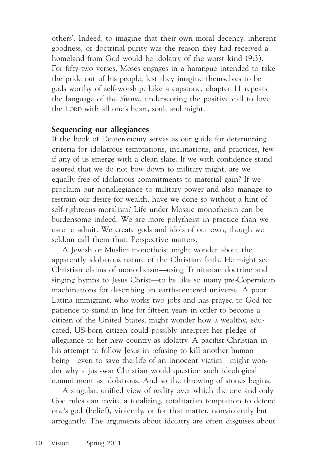others'. Indeed, to imagine that their own moral decency, inherent goodness, or doctrinal purity was the reason they had received a homeland from God would be idolatry of the worst kind (9:3). For fifty-two verses, Moses engages in a harangue intended to take the pride out of his people, lest they imagine themselves to be gods worthy of self-worship. Like a capstone, chapter 11 repeats the language of the *Shema*, underscoring the positive call to love the LORD with all one's heart, soul, and might.

### **Sequencing our allegiances**

If the book of Deuteronomy serves as our guide for determining criteria for idolatrous temptations, inclinations, and practices, few if any of us emerge with a clean slate. If we with confidence stand assured that we do not bow down to military might, are we equally free of idolatrous commitments to material gain? If we proclaim our nonallegiance to military power and also manage to restrain our desire for wealth, have we done so without a hint of self-righteous moralism? Life under Mosaic monotheism can be burdensome indeed. We are more polytheist in practice than we care to admit. We create gods and idols of our own, though we seldom call them that. Perspective matters.

A Jewish or Muslim monotheist might wonder about the apparently idolatrous nature of the Christian faith. He might see Christian claims of monotheism—using Trinitarian doctrine and singing hymns to Jesus Christ—to be like so many pre-Copernican machinations for describing an earth-centered universe. A poor Latina immigrant, who works two jobs and has prayed to God for patience to stand in line for fifteen years in order to become a citizen of the United States, might wonder how a wealthy, educated, US-born citizen could possibly interpret her pledge of allegiance to her new country as idolatry. A pacifist Christian in his attempt to follow Jesus in refusing to kill another human being—even to save the life of an innocent victim—might wonder why a just-war Christian would question such ideological commitment as idolatrous. And so the throwing of stones begins.

A singular, unified view of reality over which the one and only God rules can invite a totalizing, totalitarian temptation to defend one's god (belief), violently, or for that matter, nonviolently but arrogantly. The arguments about idolatry are often disguises about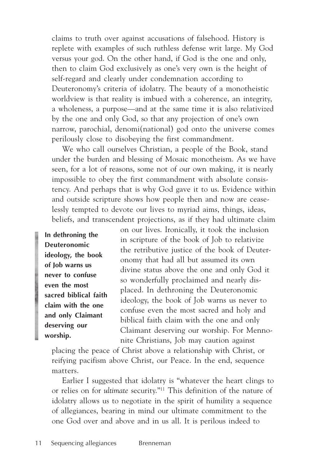claims to truth over against accusations of falsehood. History is replete with examples of such ruthless defense writ large. My God versus your god. On the other hand, if God is the one and only, then to claim God exclusively as one's very own is the height of self-regard and clearly under condemnation according to Deuteronomy's criteria of idolatry. The beauty of a monotheistic worldview is that reality is imbued with a coherence, an integrity, a wholeness, a purpose—and at the same time it is also relativized by the one and only God, so that any projection of one's own narrow, parochial, denomi(national) god onto the universe comes perilously close to disobeying the first commandment.

We who call ourselves Christian, a people of the Book, stand under the burden and blessing of Mosaic monotheism. As we have seen, for a lot of reasons, some not of our own making, it is nearly impossible to obey the first commandment with absolute consistency. And perhaps that is why God gave it to us. Evidence within and outside scripture shows how people then and now are ceaselessly tempted to devote our lives to myriad aims, things, ideas, beliefs, and transcendent projections, as if they had ultimate claim

**In dethroning the Deuteronomic ideology, the book of Job warns us never to confuse even the most sacred biblical faith claim with the one and only Claimant deserving our worship.**

on our lives. Ironically, it took the inclusion in scripture of the book of Job to relativize the retributive justice of the book of Deuteronomy that had all but assumed its own divine status above the one and only God it so wonderfully proclaimed and nearly displaced. In dethroning the Deuteronomic ideology, the book of Job warns us never to confuse even the most sacred and holy and biblical faith claim with the one and only Claimant deserving our worship. For Mennonite Christians, Job may caution against

placing the peace of Christ above a relationship with Christ, or reifying pacifism above Christ, our Peace. In the end, sequence matters.

Earlier I suggested that idolatry is "whatever the heart clings to or relies on for *ultimate* security."11 This definition of the nature of idolatry allows us to negotiate in the spirit of humility a sequence of allegiances, bearing in mind our ultimate commitment to the one God over and above and in us all. It is perilous indeed to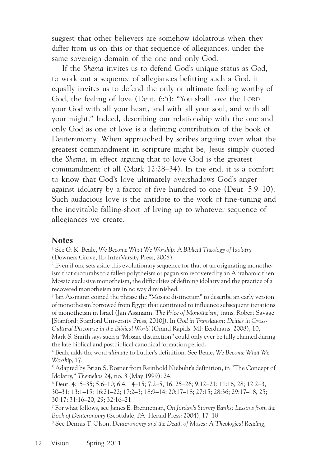suggest that other believers are somehow idolatrous when they differ from us on this or that sequence of allegiances, under the same sovereign domain of the one and only God.

If the *Shema* invites us to defend God's unique status as God, to work out a sequence of allegiances befitting such a God, it equally invites us to defend the only or ultimate feeling worthy of God, the feeling of love (Deut. 6:5): "You shall love the LORD your God with all your heart, and with all your soul, and with all your might." Indeed, describing our relationship with the one and only God as one of love is a defining contribution of the book of Deuteronomy. When approached by scribes arguing over what the greatest commandment in scripture might be, Jesus simply quoted the *Shema*, in effect arguing that to love God is the greatest commandment of all (Mark 12:28–34). In the end, it is a comfort to know that God's love ultimately overshadows God's anger against idolatry by a factor of five hundred to one (Deut. 5:9–10). Such audacious love is the antidote to the work of fine-tuning and the inevitable falling-short of living up to whatever sequence of allegiances we create.

#### **Notes**

1 See G. K. Beale, *We Become What We Worship: A Biblical Theology of Idolatry* (Downers Grove, IL: InterVarsity Press, 2008).

 $^2$  Even if one sets aside this evolutionary sequence for that of an originating monotheism that succumbs to a fallen polytheism or paganism recovered by an Abrahamic then Mosaic exclusive monotheism, the difficulties of defining idolatry and the practice of a recovered monotheism are in no way diminished.

3 Jan Assmann coined the phrase the "Mosaic distinction" to describe an early version of monotheism borrowed from Egypt that continued to influence subsequent iterations of monotheism in Israel (Jan Assmann, *The Price of Monotheism,* trans. Robert Savage [Stanford: Stanford University Press, 2010]). In *God in Translation: Deities in Cross-Cultural Discourse in the Biblical World* (Grand Rapids, MI: Eerdmans, 2008), 10, Mark S. Smith says such a "Mosaic distinction" could only ever be fully claimed during the late biblical and postbiblical canonical formation period.

4 Beale adds the word *ultimate* to Luther's definition. See Beale, *We Become What We Worship*, 17.

5 Adapted by Brian S. Rosner from Reinhold Niebuhr's definition, in "The Concept of Idolatry," *Themelios* 24, no. 3 (May 1999): 24.

6 Deut. 4:15–35; 5:6–10; 6:4, 14–15; 7:2–5, 16, 25–26; 9:12–21; 11:16, 28; 12:2–3, 30–31; 13:1–15; 16:21–22; 17:2–3; 18:9–14; 20:17–18; 27:15; 28:36; 29:17–18, 25; 30:17; 31:16–20, 29; 32:16–21.

7 For what follows, see James E. Brenneman, *On Jordan's Stormy Banks: Lessons from the Book of Deuteronomy* (Scottdale, PA: Herald Press: 2004), 17–18.

8 See Dennis T. Olson, *Deuteronomy and the Death of Moses: A Theological Reading*,